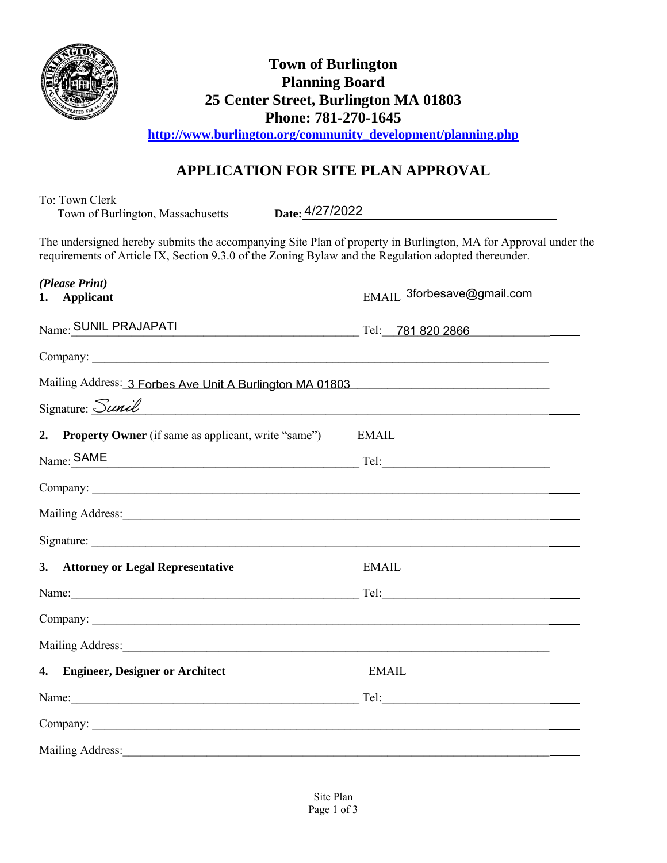

To: Town Clerk

# **RECEIVED**

**Town of Burling By Town Clerk's Office at 12:18 pm, May 05, 2022 Planning Board** 

## **25 Center Street, Burlington MA 01803**

**Phone: 781-270-1645** 

**http://www.burlington.org/community\_development/planning.php**

## **APPLICATION FOR SITE PLAN APPROVAL**

| Date: 4/27/2022<br>Town of Burlington, Massachusetts                                                                                                                                                                                                                                 |                                         |
|--------------------------------------------------------------------------------------------------------------------------------------------------------------------------------------------------------------------------------------------------------------------------------------|-----------------------------------------|
| The undersigned hereby submits the accompanying Site Plan of property in Burlington, MA for Approval under the<br>requirements of Article IX, Section 9.3.0 of the Zoning Bylaw and the Regulation adopted thereunder.                                                               |                                         |
| (Please Print)<br>1. Applicant                                                                                                                                                                                                                                                       | EMAIL 3forbesave@gmail.com              |
| Name: SUNIL PRAJAPATI                                                                                                                                                                                                                                                                | Tel: 781 820 2866                       |
|                                                                                                                                                                                                                                                                                      |                                         |
| Mailing Address: 3 Forbes Ave Unit A Burlington MA 01803 Mailing Community Community Community Community Commun                                                                                                                                                                      |                                         |
| Signature: Sunil<br><u> 1980 - Johann John Stein, fransk politik (</u>                                                                                                                                                                                                               |                                         |
| 2.<br><b>Property Owner</b> (if same as applicant, write "same")                                                                                                                                                                                                                     | EMAIL <b>EXECUTER</b>                   |
| $_{\text{Name}:}$ SAME                                                                                                                                                                                                                                                               |                                         |
|                                                                                                                                                                                                                                                                                      |                                         |
|                                                                                                                                                                                                                                                                                      |                                         |
|                                                                                                                                                                                                                                                                                      |                                         |
| 3.<br><b>Attorney or Legal Representative</b>                                                                                                                                                                                                                                        | $E\text{MAIL} \underline{\hspace{2cm}}$ |
|                                                                                                                                                                                                                                                                                      |                                         |
| $\n  Comparing  \n  Comparing  \n  Comparing  \n  Comparing  \n  Comparing  \n  Comparing  \n  Comparing  \n  Comparing  \n  Comparing  \n  Comparing  \n  Comparing  \n  Comparing  \n  Comparing  \n  Comparing  \n  Comparing  \n  Comparing  \n  Comparing  \n  Comparing  \n  $ |                                         |
| Mailing Address: 1988 and 2008 and 2008 and 2008 and 2008 and 2008 and 2008 and 2008 and 2008 and 2008 and 200                                                                                                                                                                       |                                         |
| 4.<br><b>Engineer, Designer or Architect</b>                                                                                                                                                                                                                                         | $\boxed{\textrm{EMAIL}}$                |
|                                                                                                                                                                                                                                                                                      |                                         |
|                                                                                                                                                                                                                                                                                      |                                         |
|                                                                                                                                                                                                                                                                                      |                                         |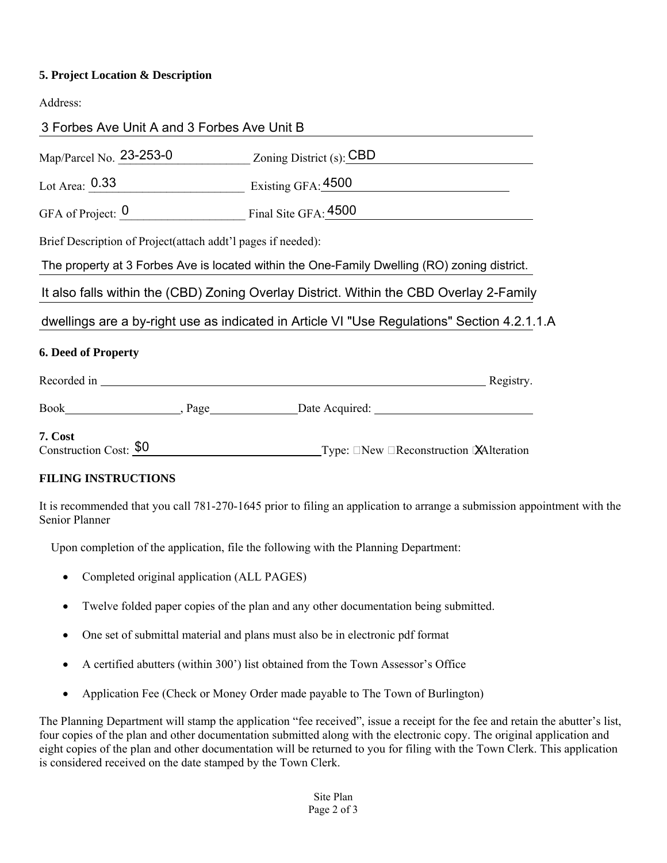#### **5. Project Location & Description**

Address:

| 3 Forbes Ave Unit A and 3 Forbes Ave Unit B                   |                                                                                              |
|---------------------------------------------------------------|----------------------------------------------------------------------------------------------|
| Map/Parcel No. $23-253-0$ Zoning District (s): CBD            |                                                                                              |
| Lot Area: 0.33 Existing GFA: 4500                             |                                                                                              |
| GFA of Project: $0$ Final Site GFA: $4500$                    |                                                                                              |
| Brief Description of Project (attach addt'l pages if needed): |                                                                                              |
|                                                               | The property at 3 Forbes Ave is located within the One-Family Dwelling (RO) zoning district. |
|                                                               | It also falls within the (CBD) Zoning Overlay District. Within the CBD Overlay 2-Family      |
|                                                               | dwellings are a by-right use as indicated in Article VI "Use Regulations" Section 4.2.1.1.A  |
| <b>6. Deed of Property</b>                                    |                                                                                              |
| Recorded in                                                   | Registry.                                                                                    |
|                                                               | Book Robinson Rage Date Acquired:                                                            |
| 7. Cost<br>Construction Cost: \$0                             | Type: $\Box$ New $\Box$ Reconstruction [XAlteration]                                         |

#### **FILING INSTRUCTIONS**

It is recommended that you call 781-270-1645 prior to filing an application to arrange a submission appointment with the Senior Planner

Upon completion of the application, file the following with the Planning Department:

- Completed original application (ALL PAGES)
- Twelve folded paper copies of the plan and any other documentation being submitted.
- One set of submittal material and plans must also be in electronic pdf format
- A certified abutters (within 300') list obtained from the Town Assessor's Office
- Application Fee (Check or Money Order made payable to The Town of Burlington)

The Planning Department will stamp the application "fee received", issue a receipt for the fee and retain the abutter's list, four copies of the plan and other documentation submitted along with the electronic copy. The original application and eight copies of the plan and other documentation will be returned to you for filing with the Town Clerk. This application is considered received on the date stamped by the Town Clerk.